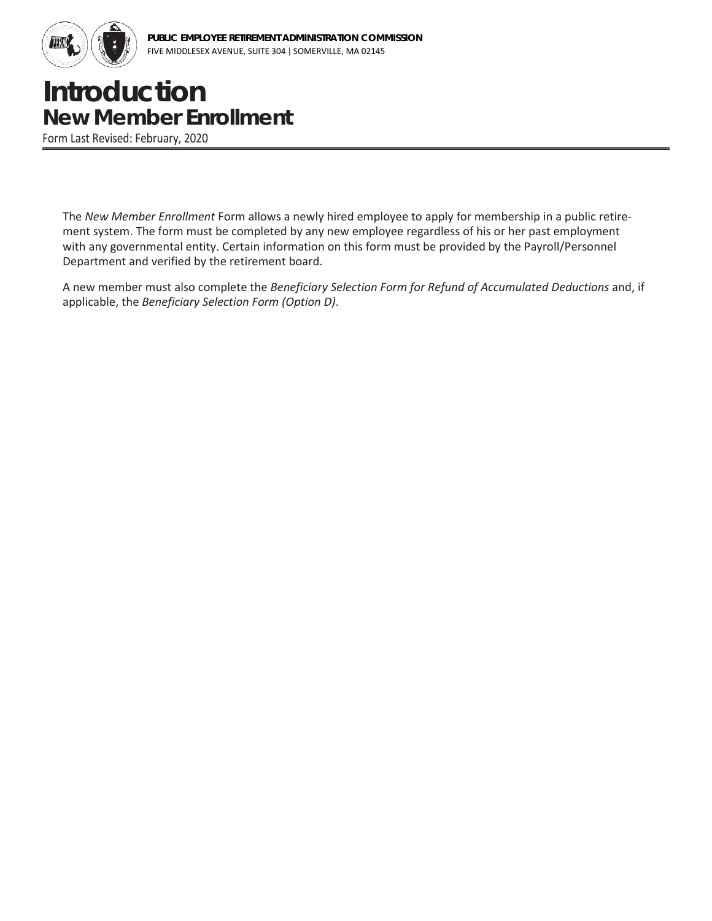

## **Introduction New Member Enrollment**

Form Last Revised: February, 2020

The *New Member Enrollment* Form allows a newly hired employee to apply for membership in a public retirement system. The form must be completed by any new employee regardless of his or her past employment with any governmental entity. Certain information on this form must be provided by the Payroll/Personnel Department and verified by the retirement board.

A new member must also complete the *Beneficiary Selection Form for Refund of Accumulated Deductions* and, if applicable, the *Beneficiary Selection Form (Option D)*.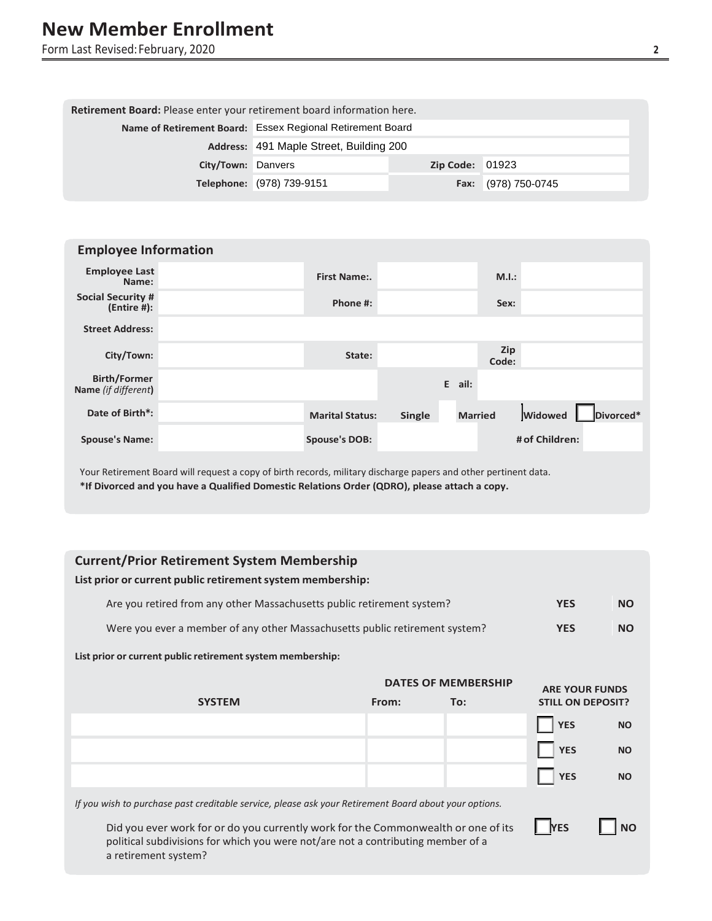Form Last Revised:February, 2020 **2**

| Retirement Board: Please enter your retirement board information here. |                                                           |                        |                     |  |  |  |
|------------------------------------------------------------------------|-----------------------------------------------------------|------------------------|---------------------|--|--|--|
|                                                                        | Name of Retirement Board: Essex Regional Retirement Board |                        |                     |  |  |  |
|                                                                        | Address: 491 Maple Street, Building 200                   |                        |                     |  |  |  |
| City/Town: Danvers                                                     |                                                           | <b>Zip Code: 01923</b> |                     |  |  |  |
|                                                                        | Telephone: (978) 739-9151                                 |                        | Fax: (978) 750-0745 |  |  |  |

| <b>Employee Information</b>                |                        |               |                |                     |                |           |  |
|--------------------------------------------|------------------------|---------------|----------------|---------------------|----------------|-----------|--|
| <b>Employee Last</b><br>Name:              | First Name:.           |               |                | M.I.:               |                |           |  |
| <b>Social Security #</b><br>(Entire #):    | Phone #:               |               |                | Sex:                |                |           |  |
| <b>Street Address:</b>                     |                        |               |                |                     |                |           |  |
| City/Town:                                 | State:                 |               |                | <b>Zip</b><br>Code: |                |           |  |
| <b>Birth/Former</b><br>Name (if different) |                        |               | E ail:         |                     |                |           |  |
| Date of Birth*:                            | <b>Marital Status:</b> | <b>Single</b> | <b>Married</b> |                     | <b>Widowed</b> | Divorced* |  |
| <b>Spouse's Name:</b>                      | <b>Spouse's DOB:</b>   |               |                |                     | # of Children: |           |  |

Your Retirement Board will request a copy of birth records, military discharge papers and other pertinent data. **\*If Divorced and you have a Qualified Domestic Relations Order (QDRO), please attach a copy.**

## **Current/Prior Retirement System Membership**

**List prior or current public retirementsystem membership:**

| Are you retired from any other Massachusetts public retirement system?      | <b>YES</b> | NO. |
|-----------------------------------------------------------------------------|------------|-----|
| Were you ever a member of any other Massachusetts public retirement system? | <b>YES</b> | NO. |

## **List prior or current public retirementsystem membership:**

|                                                                                                       |       | <b>DATES OF MEMBERSHIP</b> | <b>ARE YOUR FUNDS</b>    |           |
|-------------------------------------------------------------------------------------------------------|-------|----------------------------|--------------------------|-----------|
| <b>SYSTEM</b>                                                                                         | From: | To:                        | <b>STILL ON DEPOSIT?</b> |           |
|                                                                                                       |       |                            | <b>YES</b>               | <b>NO</b> |
|                                                                                                       |       |                            | <b>YES</b>               | <b>NO</b> |
|                                                                                                       |       |                            | <b>YES</b>               | <b>NO</b> |
| If you wish to purchase past creditable service, please ask your Retirement Board about your options. |       |                            |                          |           |
| Did you ever work for or do you currently work for the Commonwealth or one of its                     |       |                            | <b>YES</b>               | ΝO        |

Did you ever work for or do you currently work for the Commonwealth or one of its **LATES** political subdivisions for which you were not/are not a contributing member of a a retirement system?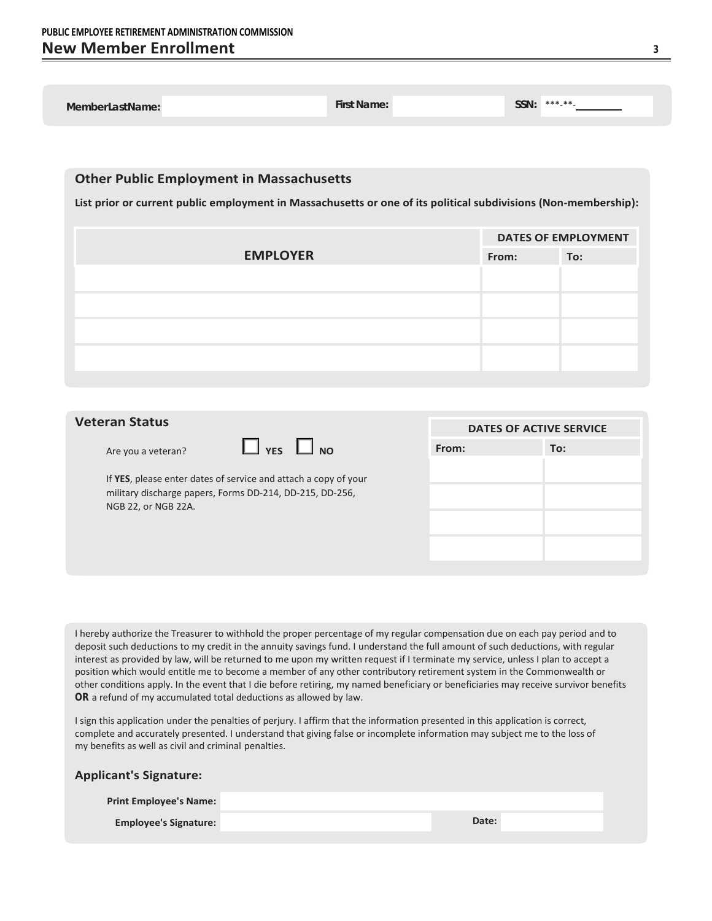| MemberLastName:                                                                                                                                                    | <b>First Name:</b> |       | SSN: | ***_**_                    |
|--------------------------------------------------------------------------------------------------------------------------------------------------------------------|--------------------|-------|------|----------------------------|
|                                                                                                                                                                    |                    |       |      |                            |
| <b>Other Public Employment in Massachusetts</b><br>List prior or current public employment in Massachusetts or one of its political subdivisions (Non-membership): |                    |       |      |                            |
|                                                                                                                                                                    |                    |       |      | <b>DATES OF EMPLOYMENT</b> |
| <b>EMPLOYER</b>                                                                                                                                                    |                    | From: |      | To:                        |
|                                                                                                                                                                    |                    |       |      |                            |
|                                                                                                                                                                    |                    |       |      |                            |
|                                                                                                                                                                    |                    |       |      |                            |
|                                                                                                                                                                    |                    |       |      |                            |
|                                                                                                                                                                    |                    |       |      |                            |
|                                                                                                                                                                    |                    |       |      |                            |
|                                                                                                                                                                    |                    |       |      |                            |

| <b>Veteran Status</b>                                                                                                                              | <b>DATES OF ACTIVE SERVICE</b> |     |  |
|----------------------------------------------------------------------------------------------------------------------------------------------------|--------------------------------|-----|--|
| $\Box$ YES<br>N <sub>O</sub><br>Are you a veteran?                                                                                                 | From:                          | To: |  |
| If YES, please enter dates of service and attach a copy of your<br>military discharge papers, Forms DD-214, DD-215, DD-256,<br>NGB 22, or NGB 22A. |                                |     |  |

I hereby authorize the Treasurer to withhold the proper percentage of my regular compensation due on each pay period and to deposit such deductions to my credit in the annuity savings fund. I understand the full amount of such deductions, with regular interest as provided by law, will be returned to me upon my written request if I terminate my service, unless I plan to accept a position which would entitle me to become a member of any other contributory retirement system in the Commonwealth or other conditions apply. In the event that I die before retiring, my named beneficiary or beneficiaries may receive survivor benefits **OR** a refund of my accumulated total deductions as allowed by law.

I sign this application under the penalties of perjury. I affirm that the information presented in this application is correct, complete and accurately presented. I understand that giving false or incomplete information may subject me to the loss of my benefits as well as civil and criminal penalties.

| <b>Applicant's Signature:</b> |       |  |
|-------------------------------|-------|--|
| <b>Print Employee's Name:</b> |       |  |
| <b>Employee's Signature:</b>  | Date: |  |
|                               |       |  |